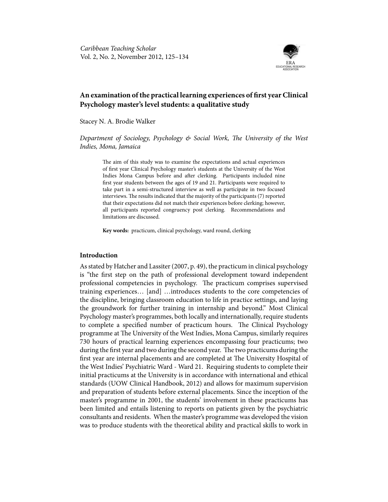

# **An examination of the practical learning experiences of first year Clinical Psychology master's level students: a qualitative study**

Stacey N. A. Brodie Walker

*Department of Sociology, Psychology & Social Work, The University of the West Indies, Mona, Jamaica*

The aim of this study was to examine the expectations and actual experiences of first year Clinical Psychology master's students at the University of the West Indies Mona Campus before and after clerking. Participants included nine first year students between the ages of 19 and 21. Participants were required to take part in a semi-structured interview as well as participate in two focused interviews. The results indicated that the majority of the participants (7) reported that their expectations did not match their experiences before clerking; however, all participants reported congruency post clerking. Recommendations and limitations are discussed.

**Key words:** practicum, clinical psychology, ward round, clerking

#### **Introduction**

As stated by Hatcher and Lassiter (2007, p. 49), the practicum in clinical psychology is "the first step on the path of professional development toward independent professional competencies in psychology. The practicum comprises supervised training experiences… [and] …introduces students to the core competencies of the discipline, bringing classroom education to life in practice settings, and laying the groundwork for further training in internship and beyond." Most Clinical Psychology master's programmes, both locally and internationally, require students to complete a specified number of practicum hours. The Clinical Psychology programme at The University of the West Indies, Mona Campus, similarly requires 730 hours of practical learning experiences encompassing four practicums; two during the first year and two during the second year. The two practicums during the first year are internal placements and are completed at The University Hospital of the West Indies' Psychiatric Ward - Ward 21. Requiring students to complete their initial practicums at the University is in accordance with international and ethical standards (UOW Clinical Handbook, 2012) and allows for maximum supervision and preparation of students before external placements. Since the inception of the master's programme in 2001, the students' involvement in these practicums has been limited and entails listening to reports on patients given by the psychiatric consultants and residents. When the master's programme was developed the vision was to produce students with the theoretical ability and practical skills to work in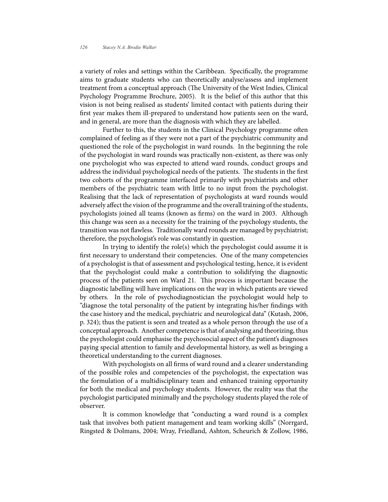a variety of roles and settings within the Caribbean. Specifically, the programme aims to graduate students who can theoretically analyse/assess and implement treatment from a conceptual approach (The University of the West Indies, Clinical Psychology Programme Brochure, 2005). It is the belief of this author that this vision is not being realised as students' limited contact with patients during their first year makes them ill-prepared to understand how patients seen on the ward, and in general, are more than the diagnosis with which they are labelled.

Further to this, the students in the Clinical Psychology programme often complained of feeling as if they were not a part of the psychiatric community and questioned the role of the psychologist in ward rounds. In the beginning the role of the psychologist in ward rounds was practically non-existent, as there was only one psychologist who was expected to attend ward rounds, conduct groups and address the individual psychological needs of the patients. The students in the first two cohorts of the programme interfaced primarily with psychiatrists and other members of the psychiatric team with little to no input from the psychologist. Realising that the lack of representation of psychologists at ward rounds would adversely affect the vision of the programme and the overall training of the students, psychologists joined all teams (known as firms) on the ward in 2003. Although this change was seen as a necessity for the training of the psychology students, the transition was not flawless. Traditionally ward rounds are managed by psychiatrist; therefore, the psychologist's role was constantly in question.

In trying to identify the role(s) which the psychologist could assume it is first necessary to understand their competencies. One of the many competencies of a psychologist is that of assessment and psychological testing, hence, it is evident that the psychologist could make a contribution to solidifying the diagnostic process of the patients seen on Ward 21. This process is important because the diagnostic labelling will have implications on the way in which patients are viewed by others. In the role of psychodiagnostician the psychologist would help to "diagnose the total personality of the patient by integrating his/her findings with the case history and the medical, psychiatric and neurological data" (Kutash, 2006, p. 324); thus the patient is seen and treated as a whole person through the use of a conceptual approach. Another competence is that of analysing and theorizing, thus the psychologist could emphasise the psychosocial aspect of the patient's diagnoses paying special attention to family and developmental history, as well as bringing a theoretical understanding to the current diagnoses.

With psychologists on all firms of ward round and a clearer understanding of the possible roles and competencies of the psychologist, the expectation was the formulation of a multidisciplinary team and enhanced training opportunity for both the medical and psychology students. However, the reality was that the psychologist participated minimally and the psychology students played the role of observer.

It is common knowledge that "conducting a ward round is a complex task that involves both patient management and team working skills" (Norrgard, Ringsted & Dolmans, 2004; Wray, Friedland, Ashton, Scheurich & Zollow, 1986,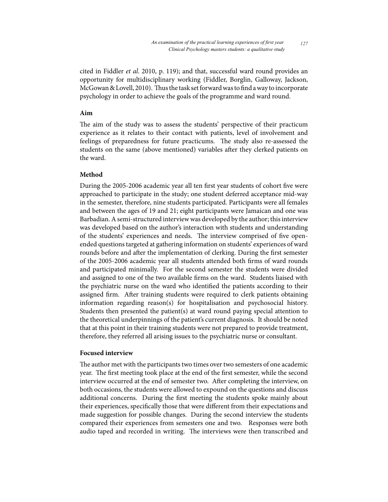cited in Fiddler *et al*. 2010, p. 119); and that, successful ward round provides an opportunity for multidisciplinary working (Fiddler, Borglin, Galloway, Jackson, McGowan & Lovell, 2010). Thus the task set forward was to find a way to incorporate psychology in order to achieve the goals of the programme and ward round.

#### **Aim**

The aim of the study was to assess the students' perspective of their practicum experience as it relates to their contact with patients, level of involvement and feelings of preparedness for future practicums. The study also re-assessed the students on the same (above mentioned) variables after they clerked patients on the ward.

# **Method**

During the 2005-2006 academic year all ten first year students of cohort five were approached to participate in the study; one student deferred acceptance mid-way in the semester, therefore, nine students participated. Participants were all females and between the ages of 19 and 21; eight participants were Jamaican and one was Barbadian. A semi-structured interview was developed by the author; this interview was developed based on the author's interaction with students and understanding of the students' experiences and needs. The interview comprised of five openended questions targeted at gathering information on students' experiences of ward rounds before and after the implementation of clerking. During the first semester of the 2005-2006 academic year all students attended both firms of ward rounds and participated minimally. For the second semester the students were divided and assigned to one of the two available firms on the ward. Students liaised with the psychiatric nurse on the ward who identified the patients according to their assigned firm. After training students were required to clerk patients obtaining information regarding reason(s) for hospitalisation and psychosocial history. Students then presented the patient(s) at ward round paying special attention to the theoretical underpinnings of the patient's current diagnosis. It should be noted that at this point in their training students were not prepared to provide treatment, therefore, they referred all arising issues to the psychiatric nurse or consultant.

## **Focused interview**

The author met with the participants two times over two semesters of one academic year. The first meeting took place at the end of the first semester, while the second interview occurred at the end of semester two. After completing the interview, on both occasions, the students were allowed to expound on the questions and discuss additional concerns. During the first meeting the students spoke mainly about their experiences, specifically those that were different from their expectations and made suggestion for possible changes. During the second interview the students compared their experiences from semesters one and two. Responses were both audio taped and recorded in writing. The interviews were then transcribed and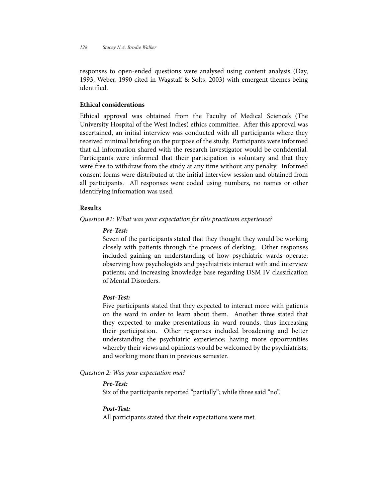responses to open-ended questions were analysed using content analysis (Day, 1993; Weber, 1990 cited in Wagstaff & Solts, 2003) with emergent themes being identified.

# **Ethical considerations**

Ethical approval was obtained from the Faculty of Medical Science's (The University Hospital of the West Indies) ethics committee. After this approval was ascertained, an initial interview was conducted with all participants where they received minimal briefing on the purpose of the study. Participants were informed that all information shared with the research investigator would be confidential. Participants were informed that their participation is voluntary and that they were free to withdraw from the study at any time without any penalty. Informed consent forms were distributed at the initial interview session and obtained from all participants. All responses were coded using numbers, no names or other identifying information was used.

### **Results**

*Question #1: What was your expectation for this practicum experience?*

## *Pre-Test:*

Seven of the participants stated that they thought they would be working closely with patients through the process of clerking. Other responses included gaining an understanding of how psychiatric wards operate; observing how psychologists and psychiatrists interact with and interview patients; and increasing knowledge base regarding DSM IV classification of Mental Disorders.

# *Post-Test:*

Five participants stated that they expected to interact more with patients on the ward in order to learn about them. Another three stated that they expected to make presentations in ward rounds, thus increasing their participation. Other responses included broadening and better understanding the psychiatric experience; having more opportunities whereby their views and opinions would be welcomed by the psychiatrists; and working more than in previous semester.

# *Question 2: Was your expectation met?*

# *Pre-Test:*

Six of the participants reported "partially"; while three said "no".

#### *Post-Test:*

All participants stated that their expectations were met.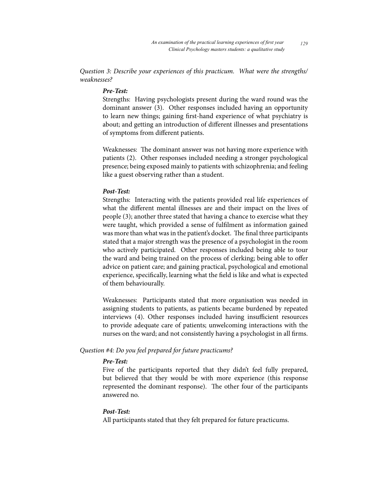*Question 3: Describe your experiences of this practicum. What were the strengths/ weaknesses?*

# *Pre-Test:*

Strengths: Having psychologists present during the ward round was the dominant answer (3). Other responses included having an opportunity to learn new things; gaining first-hand experience of what psychiatry is about; and getting an introduction of different illnesses and presentations of symptoms from different patients.

Weaknesses: The dominant answer was not having more experience with patients (2). Other responses included needing a stronger psychological presence; being exposed mainly to patients with schizophrenia; and feeling like a guest observing rather than a student.

#### *Post-Test:*

Strengths: Interacting with the patients provided real life experiences of what the different mental illnesses are and their impact on the lives of people (3); another three stated that having a chance to exercise what they were taught, which provided a sense of fulfilment as information gained was more than what was in the patient's docket. The final three participants stated that a major strength was the presence of a psychologist in the room who actively participated. Other responses included being able to tour the ward and being trained on the process of clerking; being able to offer advice on patient care; and gaining practical, psychological and emotional experience, specifically, learning what the field is like and what is expected of them behaviourally.

Weaknesses: Participants stated that more organisation was needed in assigning students to patients, as patients became burdened by repeated interviews (4). Other responses included having insufficient resources to provide adequate care of patients; unwelcoming interactions with the nurses on the ward; and not consistently having a psychologist in all firms.

#### *Question #4: Do you feel prepared for future practicums?*

#### *Pre-Test:*

Five of the participants reported that they didn't feel fully prepared, but believed that they would be with more experience (this response represented the dominant response). The other four of the participants answered no.

# *Post-Test:*

All participants stated that they felt prepared for future practicums.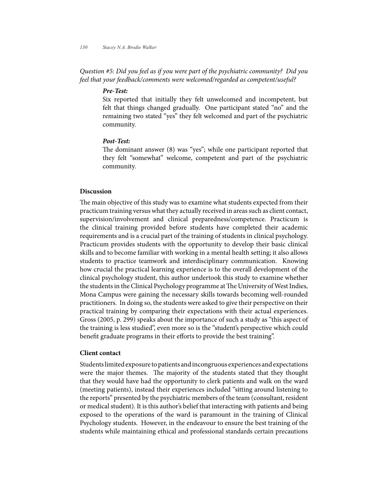*Question #5: Did you feel as if you were part of the psychiatric community? Did you feel that your feedback/comments were welcomed/regarded as competent/useful?*

# *Pre-Test:*

Six reported that initially they felt unwelcomed and incompetent, but felt that things changed gradually. One participant stated "no" and the remaining two stated "yes" they felt welcomed and part of the psychiatric community.

#### *Post-Test:*

The dominant answer (8) was "yes"; while one participant reported that they felt "somewhat" welcome, competent and part of the psychiatric community.

#### **Discussion**

The main objective of this study was to examine what students expected from their practicum training versus what they actually received in areas such as client contact, supervision/involvement and clinical preparedness/competence. Practicum is the clinical training provided before students have completed their academic requirements and is a crucial part of the training of students in clinical psychology. Practicum provides students with the opportunity to develop their basic clinical skills and to become familiar with working in a mental health setting; it also allows students to practice teamwork and interdisciplinary communication. Knowing how crucial the practical learning experience is to the overall development of the clinical psychology student, this author undertook this study to examine whether the students in the Clinical Psychology programme at The University of West Indies, Mona Campus were gaining the necessary skills towards becoming well-rounded practitioners. In doing so, the students were asked to give their perspective on their practical training by comparing their expectations with their actual experiences. Gross (2005, p. 299) speaks about the importance of such a study as "this aspect of the training is less studied", even more so is the "student's perspective which could benefit graduate programs in their efforts to provide the best training".

### **Client contact**

Students limited exposure to patients and incongruous experiences and expectations were the major themes. The majority of the students stated that they thought that they would have had the opportunity to clerk patients and walk on the ward (meeting patients), instead their experiences included "sitting around listening to the reports" presented by the psychiatric members of the team (consultant, resident or medical student). It is this author's belief that interacting with patients and being exposed to the operations of the ward is paramount in the training of Clinical Psychology students. However, in the endeavour to ensure the best training of the students while maintaining ethical and professional standards certain precautions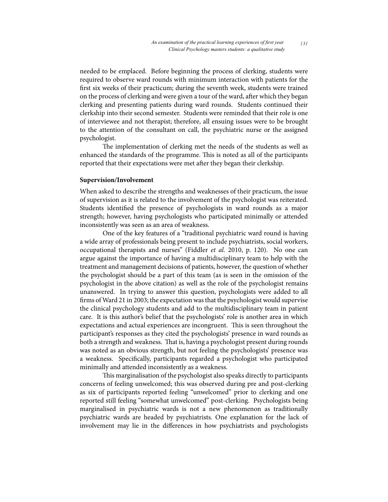needed to be emplaced. Before beginning the process of clerking, students were required to observe ward rounds with minimum interaction with patients for the first six weeks of their practicum; during the seventh week, students were trained on the process of clerking and were given a tour of the ward, after which they began clerking and presenting patients during ward rounds. Students continued their clerkship into their second semester. Students were reminded that their role is one of interviewee and not therapist; therefore, all ensuing issues were to be brought to the attention of the consultant on call, the psychiatric nurse or the assigned psychologist.

The implementation of clerking met the needs of the students as well as enhanced the standards of the programme. This is noted as all of the participants reported that their expectations were met after they began their clerkship.

#### **Supervision/Involvement**

When asked to describe the strengths and weaknesses of their practicum, the issue of supervision as it is related to the involvement of the psychologist was reiterated. Students identified the presence of psychologists in ward rounds as a major strength; however, having psychologists who participated minimally or attended inconsistently was seen as an area of weakness.

One of the key features of a "traditional psychiatric ward round is having a wide array of professionals being present to include psychiatrists, social workers, occupational therapists and nurses" (Fiddler *et al*. 2010, p. 120). No one can argue against the importance of having a multidisciplinary team to help with the treatment and management decisions of patients, however, the question of whether the psychologist should be a part of this team (as is seen in the omission of the psychologist in the above citation) as well as the role of the psychologist remains unanswered. In trying to answer this question, psychologists were added to all firms of Ward 21 in 2003; the expectation was that the psychologist would supervise the clinical psychology students and add to the multidisciplinary team in patient care. It is this author's belief that the psychologists' role is another area in which expectations and actual experiences are incongruent. This is seen throughout the participant's responses as they cited the psychologists' presence in ward rounds as both a strength and weakness. That is, having a psychologist present during rounds was noted as an obvious strength, but not feeling the psychologists' presence was a weakness. Specifically, participants regarded a psychologist who participated minimally and attended inconsistently as a weakness.

This marginalisation of the psychologist also speaks directly to participants concerns of feeling unwelcomed; this was observed during pre and post-clerking as six of participants reported feeling "unwelcomed" prior to clerking and one reported still feeling "somewhat unwelcomed" post-clerking. Psychologists being marginalised in psychiatric wards is not a new phenomenon as traditionally psychiatric wards are headed by psychiatrists. One explanation for the lack of involvement may lie in the differences in how psychiatrists and psychologists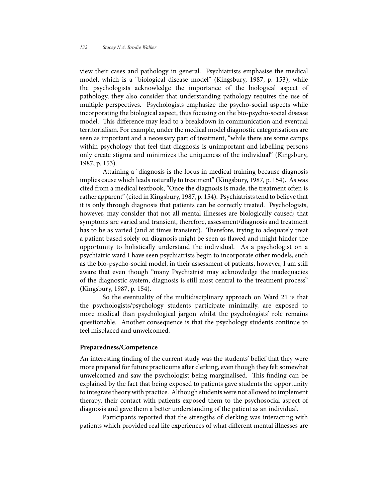view their cases and pathology in general. Psychiatrists emphasise the medical model, which is a "biological disease model" (Kingsbury, 1987, p. 153); while the psychologists acknowledge the importance of the biological aspect of pathology, they also consider that understanding pathology requires the use of multiple perspectives. Psychologists emphasize the psycho-social aspects while incorporating the biological aspect, thus focusing on the bio-psycho-social disease model. This difference may lead to a breakdown in communication and eventual territorialism. For example, under the medical model diagnostic categorisations are seen as important and a necessary part of treatment, "while there are some camps within psychology that feel that diagnosis is unimportant and labelling persons only create stigma and minimizes the uniqueness of the individual" (Kingsbury, 1987, p. 153).

Attaining a "diagnosis is the focus in medical training because diagnosis implies cause which leads naturally to treatment" (Kingsbury, 1987, p. 154). As was cited from a medical textbook, "Once the diagnosis is made, the treatment often is rather apparent" (cited in Kingsbury, 1987, p. 154). Psychiatrists tend to believe that it is only through diagnosis that patients can be correctly treated. Psychologists, however, may consider that not all mental illnesses are biologically caused; that symptoms are varied and transient, therefore, assessment/diagnosis and treatment has to be as varied (and at times transient). Therefore, trying to adequately treat a patient based solely on diagnosis might be seen as flawed and might hinder the opportunity to holistically understand the individual. As a psychologist on a psychiatric ward I have seen psychiatrists begin to incorporate other models, such as the bio-psycho-social model, in their assessment of patients, however, I am still aware that even though "many Psychiatrist may acknowledge the inadequacies of the diagnostic system, diagnosis is still most central to the treatment process" (Kingsbury, 1987, p. 154).

So the eventuality of the multidisciplinary approach on Ward 21 is that the psychologists/psychology students participate minimally, are exposed to more medical than psychological jargon whilst the psychologists' role remains questionable. Another consequence is that the psychology students continue to feel misplaced and unwelcomed.

#### **Preparedness/Competence**

An interesting finding of the current study was the students' belief that they were more prepared for future practicums after clerking, even though they felt somewhat unwelcomed and saw the psychologist being marginalised. This finding can be explained by the fact that being exposed to patients gave students the opportunity to integrate theory with practice. Although students were not allowed to implement therapy, their contact with patients exposed them to the psychosocial aspect of diagnosis and gave them a better understanding of the patient as an individual.

Participants reported that the strengths of clerking was interacting with patients which provided real life experiences of what different mental illnesses are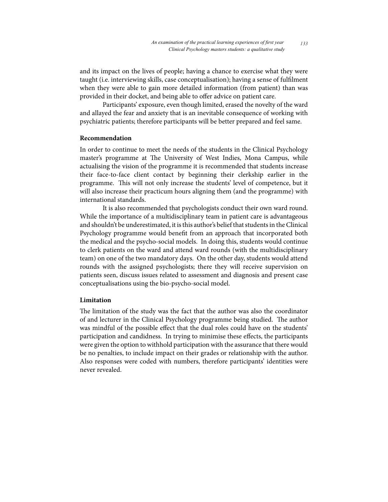and its impact on the lives of people; having a chance to exercise what they were taught (i.e. interviewing skills, case conceptualisation); having a sense of fulfilment when they were able to gain more detailed information (from patient) than was provided in their docket, and being able to offer advice on patient care.

Participants' exposure, even though limited, erased the novelty of the ward and allayed the fear and anxiety that is an inevitable consequence of working with psychiatric patients; therefore participants will be better prepared and feel same.

#### **Recommendation**

In order to continue to meet the needs of the students in the Clinical Psychology master's programme at The University of West Indies, Mona Campus, while actualising the vision of the programme it is recommended that students increase their face-to-face client contact by beginning their clerkship earlier in the programme. This will not only increase the students' level of competence, but it will also increase their practicum hours aligning them (and the programme) with international standards.

It is also recommended that psychologists conduct their own ward round. While the importance of a multidisciplinary team in patient care is advantageous and shouldn't be underestimated, it is this author's belief that students in the Clinical Psychology programme would benefit from an approach that incorporated both the medical and the psycho-social models. In doing this, students would continue to clerk patients on the ward and attend ward rounds (with the multidisciplinary team) on one of the two mandatory days. On the other day, students would attend rounds with the assigned psychologists; there they will receive supervision on patients seen, discuss issues related to assessment and diagnosis and present case conceptualisations using the bio-psycho-social model.

# **Limitation**

The limitation of the study was the fact that the author was also the coordinator of and lecturer in the Clinical Psychology programme being studied. The author was mindful of the possible effect that the dual roles could have on the students' participation and candidness. In trying to minimise these effects, the participants were given the option to withhold participation with the assurance that there would be no penalties, to include impact on their grades or relationship with the author. Also responses were coded with numbers, therefore participants' identities were never revealed.